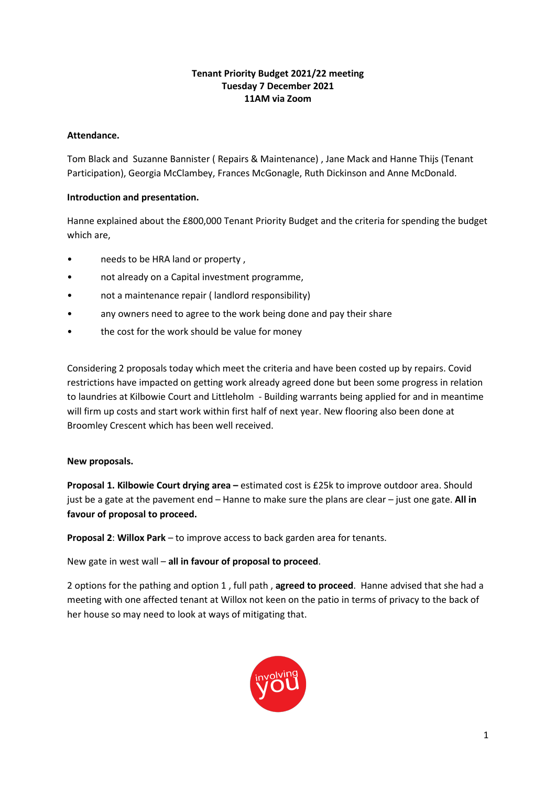#### **Tenant Priority Budget 2021/22 meeting Tuesday 7 December 2021 11AM via Zoom**

#### **Attendance.**

Tom Black and Suzanne Bannister ( Repairs & Maintenance) , Jane Mack and Hanne Thijs (Tenant Participation), Georgia McClambey, Frances McGonagle, Ruth Dickinson and Anne McDonald.

#### **Introduction and presentation.**

Hanne explained about the £800,000 Tenant Priority Budget and the criteria for spending the budget which are,

- needs to be HRA land or property ,
- not already on a Capital investment programme,
- not a maintenance repair ( landlord responsibility)
- any owners need to agree to the work being done and pay their share
- the cost for the work should be value for money

Considering 2 proposals today which meet the criteria and have been costed up by repairs. Covid restrictions have impacted on getting work already agreed done but been some progress in relation to laundries at Kilbowie Court and Littleholm - Building warrants being applied for and in meantime will firm up costs and start work within first half of next year. New flooring also been done at Broomley Crescent which has been well received.

#### **New proposals.**

**Proposal 1. Kilbowie Court drying area –** estimated cost is £25k to improve outdoor area. Should just be a gate at the pavement end – Hanne to make sure the plans are clear – just one gate. **All in favour of proposal to proceed.** 

**Proposal 2**: **Willox Park** – to improve access to back garden area for tenants.

New gate in west wall – **all in favour of proposal to proceed**.

2 options for the pathing and option 1 , full path , **agreed to proceed**. Hanne advised that she had a meeting with one affected tenant at Willox not keen on the patio in terms of privacy to the back of her house so may need to look at ways of mitigating that.

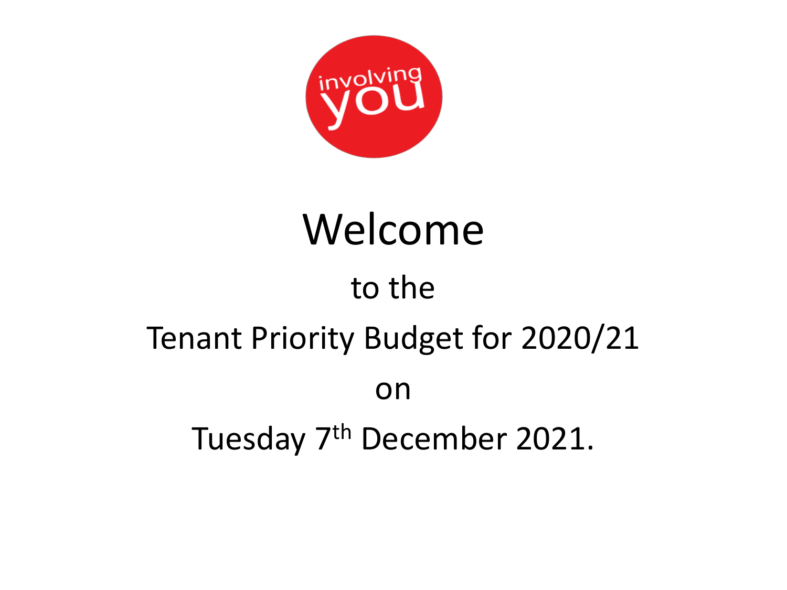

# Welcome

# to the Tenant Priority Budget for 2020/21 on

Tuesday 7<sup>th</sup> December 2021.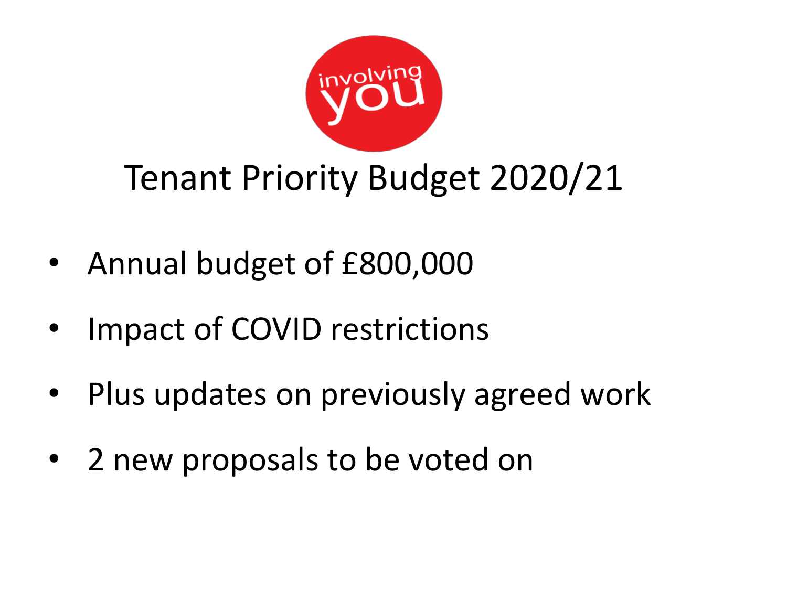

## Tenant Priority Budget 2020/21

- Annual budget of £800,000
- Impact of COVID restrictions
- Plus updates on previously agreed work
- 2 new proposals to be voted on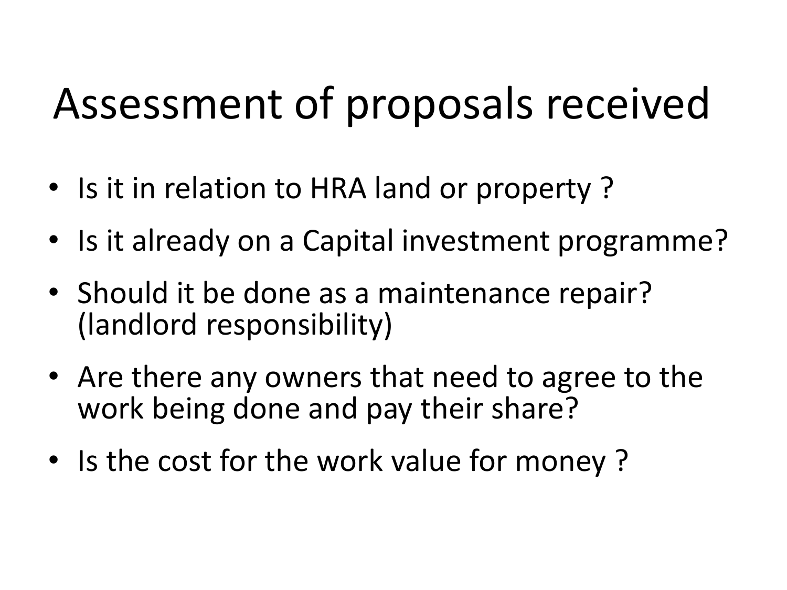# Assessment of proposals received

- Is it in relation to HRA land or property?
- Is it already on a Capital investment programme?
- Should it be done as a maintenance repair? (landlord responsibility)
- Are there any owners that need to agree to the work being done and pay their share?
- Is the cost for the work value for money?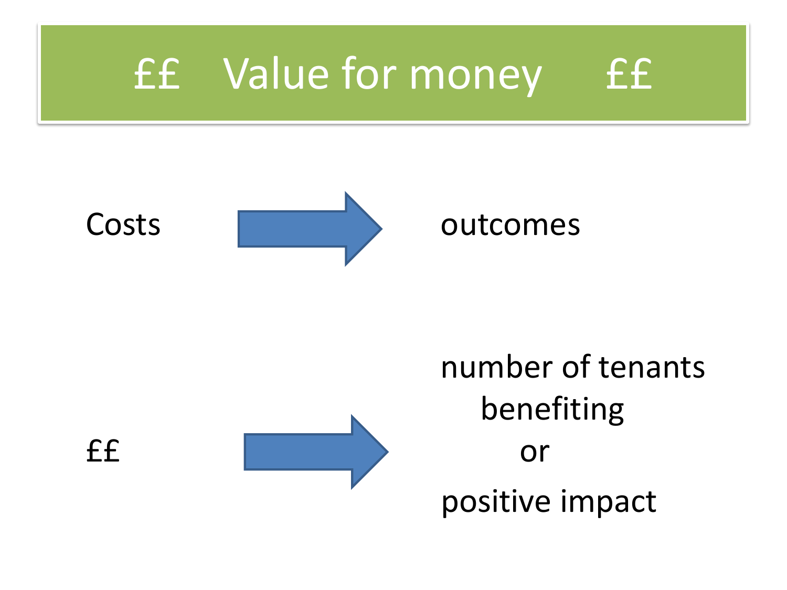



number of tenants benefiting ££ or positive impact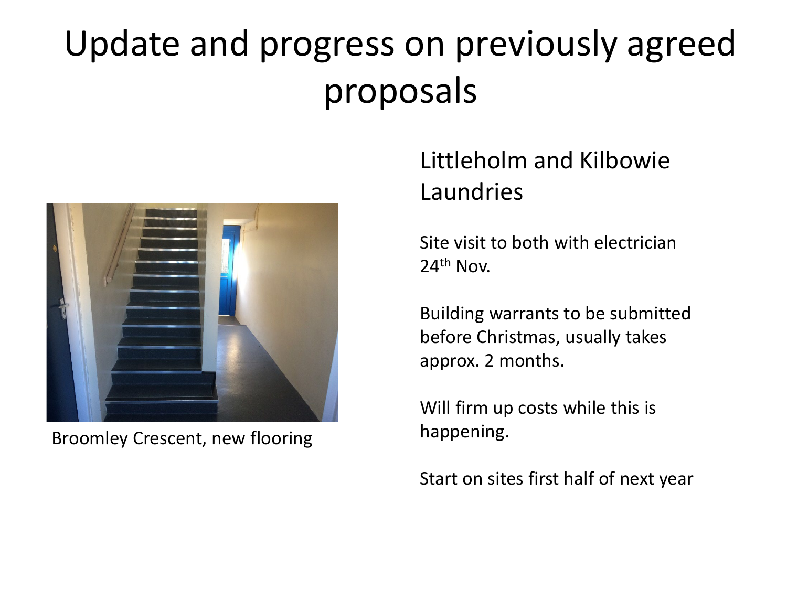## Update and progress on previously agreed proposals



Broomley Crescent, new flooring

## Littleholm and Kilbowie Laundries

Site visit to both with electrician 24th Nov.

Building warrants to be submitted before Christmas, usually takes approx. 2 months.

Will firm up costs while this is happening.

Start on sites first half of next year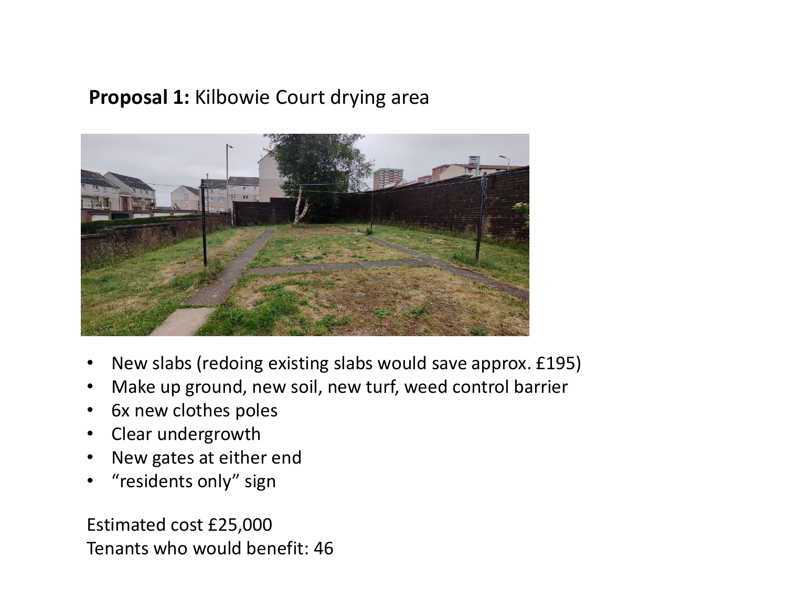### **Proposal 1:** Kilbowie Court drying area



- New slabs (redoing existing slabs would save approx. £195)
- Make up ground, new soil, new turf, weed control barrier
- 6x new clothes poles
- Clear undergrowth
- New gates at either end
- "residents only" sign

Estimated cost £25,000 Tenants who would benefit: 46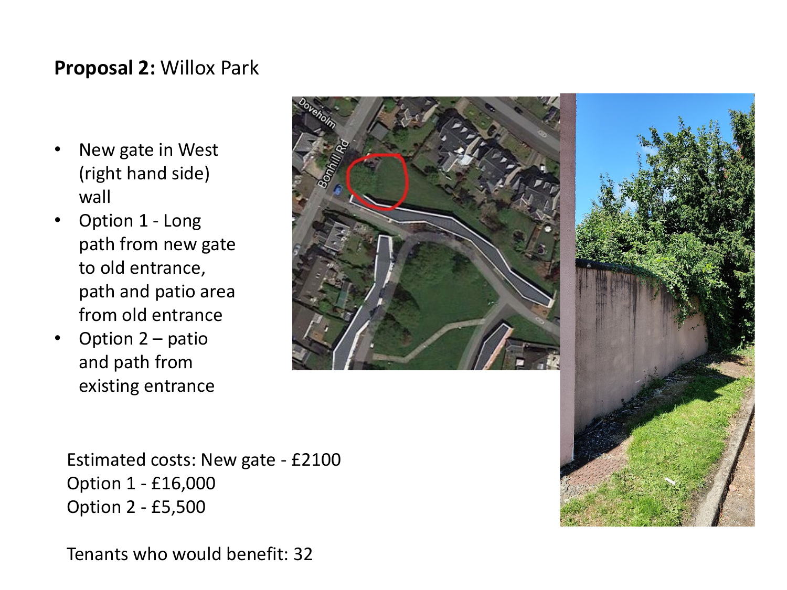### **Proposal 2:** Willox Park

- New gate in West (right hand side) wall
- Option 1 Long path from new gate to old entrance, path and patio area from old entrance
- Option 2 patio and path from existing entrance



Estimated costs: New gate - £2100 Option 1 - £16,000 Option 2 - £5,500

Tenants who would benefit: 32